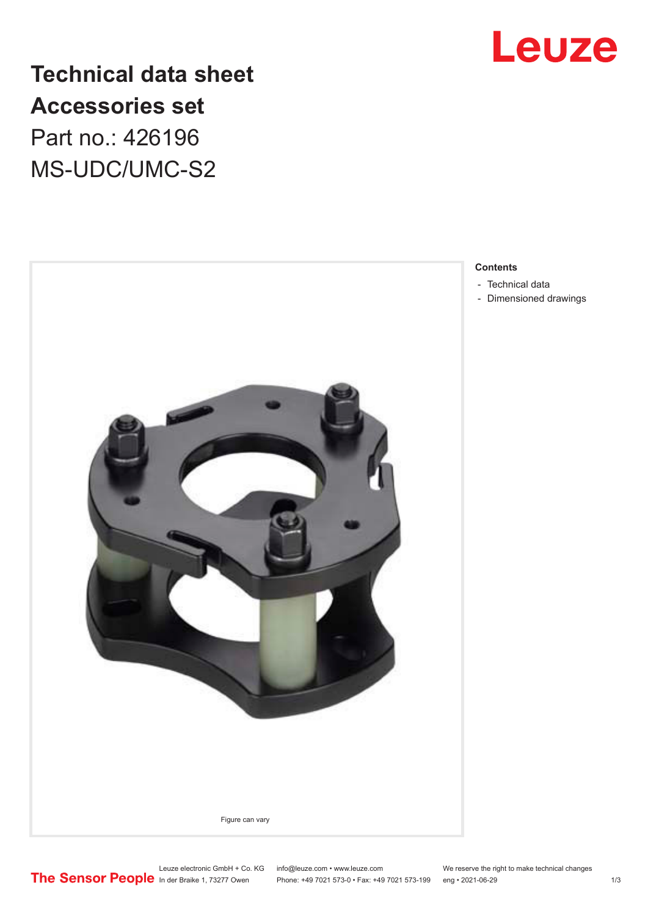

**Technical data sheet Accessories set** Part no.: 426196 MS-UDC/UMC-S2



### **Contents**

- [Technical data](#page-1-0)
- [Dimensioned drawings](#page-2-0)

Leuze electronic GmbH + Co. KG info@leuze.com • www.leuze.com We reserve the right to make technical changes<br>
The Sensor People in der Braike 1, 73277 Owen Phone: +49 7021 573-0 • Fax: +49 7021 573-199 eng • 2021-06-29

Phone: +49 7021 573-0 • Fax: +49 7021 573-199 eng • 2021-06-29 1 2021-06-29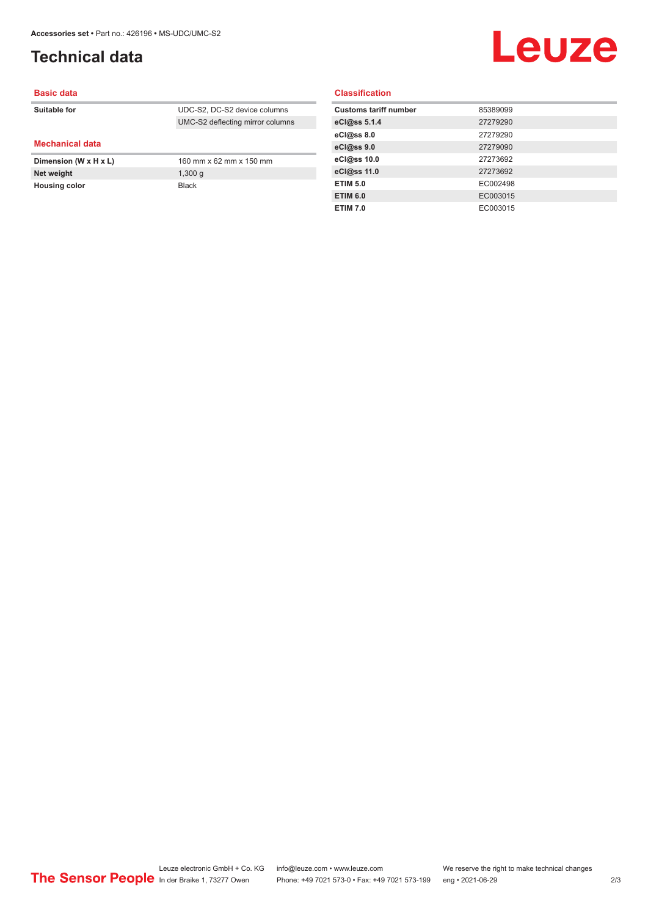## <span id="page-1-0"></span>**Technical data**

# Leuze

#### **Basic data**

| Suitable for           | UDC-S2, DC-S2 device columns     |
|------------------------|----------------------------------|
|                        | UMC-S2 deflecting mirror columns |
|                        |                                  |
| <b>Mechanical data</b> |                                  |
| Dimension (W x H x L)  | 160 mm x 62 mm x 150 mm          |
| Net weight             | 1,300q                           |
| <b>Housing color</b>   | <b>Black</b>                     |

#### **Classification**

| <b>Customs tariff number</b> | 85389099 |
|------------------------------|----------|
| eCl@ss 5.1.4                 | 27279290 |
| eCl@ss 8.0                   | 27279290 |
| eCl@ss 9.0                   | 27279090 |
| eCl@ss 10.0                  | 27273692 |
| eCl@ss 11.0                  | 27273692 |
| <b>ETIM 5.0</b>              | EC002498 |
| <b>ETIM 6.0</b>              | EC003015 |
| <b>ETIM 7.0</b>              | EC003015 |
|                              |          |